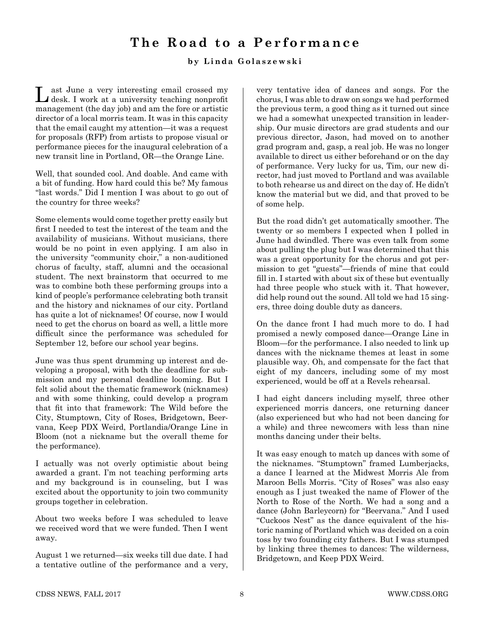## **The Road to a Performance**

## **by Linda Golaszewski**

Last June a very interesting email crossed my desk. I work at a university teaching nonprofit management (the day job) and am the fore or artistic director of a local morris team. It was in this capacity that the email caught my attention—it was a request for proposals (RFP) from artists to propose visual or performance pieces for the inaugural celebration of a new transit line in Portland, OR—the Orange Line.

Well, that sounded cool. And doable. And came with a bit of funding. How hard could this be? My famous "last words." Did I mention I was about to go out of the country for three weeks?

Some elements would come together pretty easily but first I needed to test the interest of the team and the availability of musicians. Without musicians, there would be no point in even applying. I am also in the university "community choir," a non-auditioned chorus of faculty, staff, alumni and the occasional student. The next brainstorm that occurred to me was to combine both these performing groups into a kind of people's performance celebrating both transit and the history and nicknames of our city. Portland has quite a lot of nicknames! Of course, now I would need to get the chorus on board as well, a little more difficult since the performance was scheduled for September 12, before our school year begins.

June was thus spent drumming up interest and developing a proposal, with both the deadline for submission and my personal deadline looming. But I felt solid about the thematic framework (nicknames) and with some thinking, could develop a program that fit into that framework: The Wild before the City, Stumptown, City of Roses, Bridgetown, Beervana, Keep PDX Weird, Portlandia/Orange Line in Bloom (not a nickname but the overall theme for the performance).

I actually was not overly optimistic about being awarded a grant. I'm not teaching performing arts and my background is in counseling, but I was excited about the opportunity to join two community groups together in celebration.

About two weeks before I was scheduled to leave we received word that we were funded. Then I went away.

August 1 we returned—six weeks till due date. I had a tentative outline of the performance and a very, very tentative idea of dances and songs. For the chorus, I was able to draw on songs we had performed the previous term, a good thing as it turned out since we had a somewhat unexpected transition in leadership. Our music directors are grad students and our previous director, Jason, had moved on to another grad program and, gasp, a real job. He was no longer available to direct us either beforehand or on the day of performance. Very lucky for us, Tim, our new director, had just moved to Portland and was available to both rehearse us and direct on the day of. He didn't know the material but we did, and that proved to be of some help.

But the road didn't get automatically smoother. The twenty or so members I expected when I polled in June had dwindled. There was even talk from some about pulling the plug but I was determined that this was a great opportunity for the chorus and got permission to get "guests"—friends of mine that could fill in. I started with about six of these but eventually had three people who stuck with it. That however, did help round out the sound. All told we had 15 singers, three doing double duty as dancers.

On the dance front I had much more to do. I had promised a newly composed dance—Orange Line in Bloom—for the performance. I also needed to link up dances with the nickname themes at least in some plausible way. Oh, and compensate for the fact that eight of my dancers, including some of my most experienced, would be off at a Revels rehearsal.

I had eight dancers including myself, three other experienced morris dancers, one returning dancer (also experienced but who had not been dancing for a while) and three newcomers with less than nine months dancing under their belts.

It was easy enough to match up dances with some of the nicknames. "Stumptown" framed Lumberjacks, a dance I learned at the Midwest Morris Ale from Maroon Bells Morris. "City of Roses" was also easy enough as I just tweaked the name of Flower of the North to Rose of the North. We had a song and a dance (John Barleycorn) for "Beervana." And I used "Cuckoos Nest" as the dance equivalent of the historic naming of Portland which was decided on a coin toss by two founding city fathers. But I was stumped by linking three themes to dances: The wilderness, Bridgetown, and Keep PDX Weird.